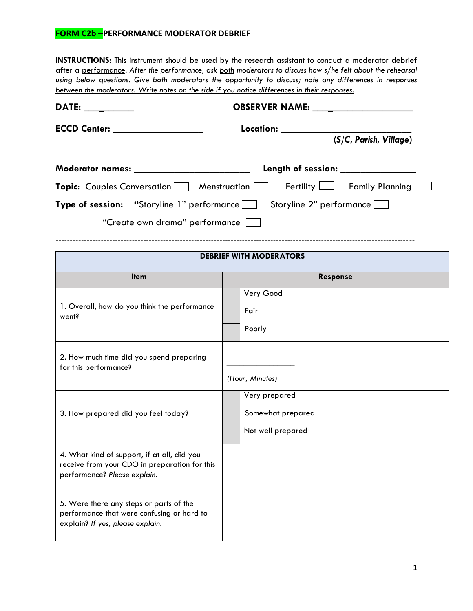## **FORM C2b –PERFORMANCE MODERATOR DEBRIEF**

I**NSTRUCTIONS:** This instrument should be used by the research assistant to conduct a moderator debrief after a performance. *After the performance, ask both moderators to discuss how s/he felt about the rehearsal using below questions. Give both moderators the opportunity to discuss; note any differences in responses between the moderators. Write notes on the side if you notice differences in their responses.*

| DATE: __________                                | OBSERVER NAME:                                                             |
|-------------------------------------------------|----------------------------------------------------------------------------|
|                                                 | Location:<br>(S/C, Parish, Village)                                        |
| Moderator names: _______________________        | Length of session: ______________                                          |
| <b>Topic:</b> Couples Conversation Menstruation | Fertility   Family Planning                                                |
|                                                 | <b>Type of session:</b> "Storyline 1" performance Storyline 2" performance |
| "Create own drama" performance                  |                                                                            |
|                                                 |                                                                            |
|                                                 | <b>DEBRIEF WITH MODERATORS</b>                                             |
| <b>Item</b>                                     | <b>Response</b>                                                            |
| 1 Overall how do you think the performance      | Very Good                                                                  |

| 1. Overall, how do you think the performance<br>went?                                                                        | Very Good<br>Fair<br>Poorly                             |
|------------------------------------------------------------------------------------------------------------------------------|---------------------------------------------------------|
| 2. How much time did you spend preparing<br>for this performance?                                                            | (Hour, Minutes)                                         |
| 3. How prepared did you feel today?                                                                                          | Very prepared<br>Somewhat prepared<br>Not well prepared |
| 4. What kind of support, if at all, did you<br>receive from your CDO in preparation for this<br>performance? Please explain. |                                                         |
| 5. Were there any steps or parts of the<br>performance that were confusing or hard to<br>explain? If yes, please explain.    |                                                         |